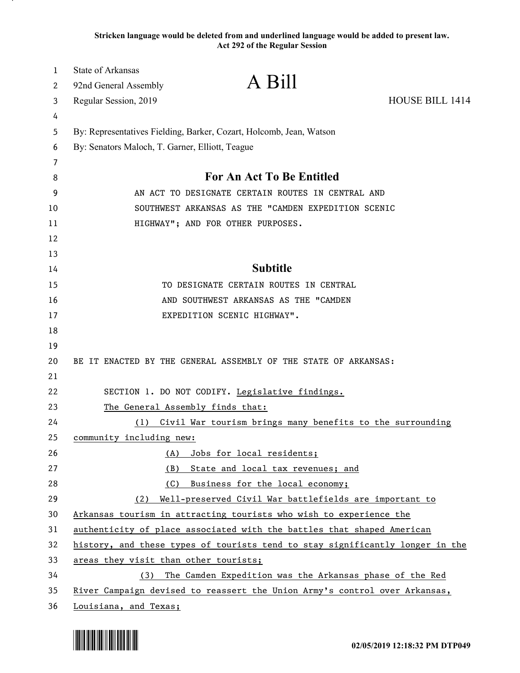**Stricken language would be deleted from and underlined language would be added to present law. Act 292 of the Regular Session**

| 1  | <b>State of Arkansas</b>                                            |                                                                               |                 |  |
|----|---------------------------------------------------------------------|-------------------------------------------------------------------------------|-----------------|--|
| 2  | 92nd General Assembly                                               | A Bill                                                                        |                 |  |
| 3  | Regular Session, 2019                                               |                                                                               | HOUSE BILL 1414 |  |
| 4  |                                                                     |                                                                               |                 |  |
| 5  | By: Representatives Fielding, Barker, Cozart, Holcomb, Jean, Watson |                                                                               |                 |  |
| 6  | By: Senators Maloch, T. Garner, Elliott, Teague                     |                                                                               |                 |  |
| 7  |                                                                     |                                                                               |                 |  |
| 8  |                                                                     | For An Act To Be Entitled                                                     |                 |  |
| 9  | AN ACT TO DESIGNATE CERTAIN ROUTES IN CENTRAL AND                   |                                                                               |                 |  |
| 10 | SOUTHWEST ARKANSAS AS THE "CAMDEN EXPEDITION SCENIC                 |                                                                               |                 |  |
| 11 | HIGHWAY"; AND FOR OTHER PURPOSES.                                   |                                                                               |                 |  |
| 12 |                                                                     |                                                                               |                 |  |
| 13 |                                                                     |                                                                               |                 |  |
| 14 |                                                                     | <b>Subtitle</b>                                                               |                 |  |
| 15 |                                                                     | TO DESIGNATE CERTAIN ROUTES IN CENTRAL                                        |                 |  |
| 16 |                                                                     | AND SOUTHWEST ARKANSAS AS THE "CAMDEN                                         |                 |  |
| 17 |                                                                     | EXPEDITION SCENIC HIGHWAY".                                                   |                 |  |
| 18 |                                                                     |                                                                               |                 |  |
| 19 |                                                                     |                                                                               |                 |  |
| 20 |                                                                     | BE IT ENACTED BY THE GENERAL ASSEMBLY OF THE STATE OF ARKANSAS:               |                 |  |
| 21 |                                                                     |                                                                               |                 |  |
| 22 |                                                                     | SECTION 1. DO NOT CODIFY. Legislative findings.                               |                 |  |
| 23 |                                                                     | The General Assembly finds that:                                              |                 |  |
| 24 | (1)                                                                 | Civil War tourism brings many benefits to the surrounding                     |                 |  |
| 25 | community including new:                                            |                                                                               |                 |  |
| 26 | <u>(A)</u>                                                          | Jobs for local residents;                                                     |                 |  |
| 27 | <u>(B)</u>                                                          | State and local tax revenues; and                                             |                 |  |
| 28 | (C)                                                                 | Business for the local economy;                                               |                 |  |
| 29 | (2)                                                                 | Well-preserved Civil War battlefields are important to                        |                 |  |
| 30 |                                                                     | Arkansas tourism in attracting tourists who wish to experience the            |                 |  |
| 31 |                                                                     | authenticity of place associated with the battles that shaped American        |                 |  |
| 32 |                                                                     | history, and these types of tourists tend to stay significantly longer in the |                 |  |
| 33 | areas they visit than other tourists;                               |                                                                               |                 |  |
| 34 | (3)                                                                 | The Camden Expedition was the Arkansas phase of the Red                       |                 |  |
| 35 |                                                                     | River Campaign devised to reassert the Union Army's control over Arkansas,    |                 |  |
| 36 | Louisiana, and Texas;                                               |                                                                               |                 |  |

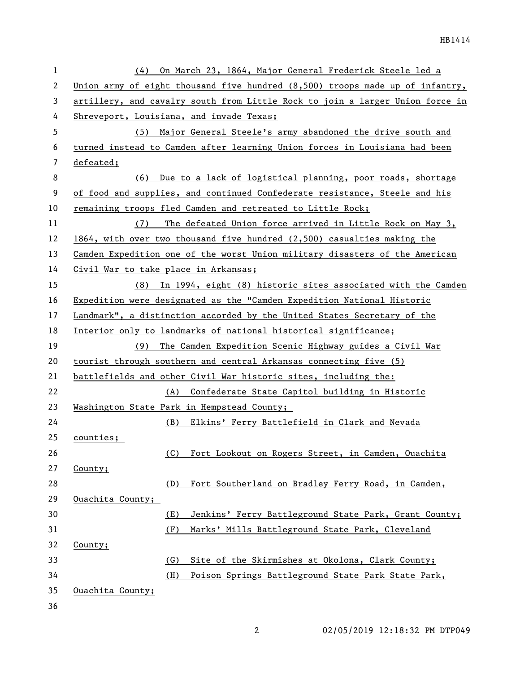| $\mathbf{1}$ | On March 23, 1864, Major General Frederick Steele led a<br>(4)                |  |  |
|--------------|-------------------------------------------------------------------------------|--|--|
| 2            | Union army of eight thousand five hundred (8,500) troops made up of infantry, |  |  |
| 3            | artillery, and cavalry south from Little Rock to join a larger Union force in |  |  |
| 4            | Shreveport, Louisiana, and invade Texas;                                      |  |  |
| 5            | (5) Major General Steele's army abandoned the drive south and                 |  |  |
| 6            | turned instead to Camden after learning Union forces in Louisiana had been    |  |  |
| 7            | defeated;                                                                     |  |  |
| 8            | Due to a lack of logistical planning, poor roads, shortage<br>(6)             |  |  |
| 9            | of food and supplies, and continued Confederate resistance, Steele and his    |  |  |
| 10           | remaining troops fled Camden and retreated to Little Rock;                    |  |  |
| 11           | The defeated Union force arrived in Little Rock on May 3,<br>(7)              |  |  |
| 12           | $1864$ , with over two thousand five hundred $(2,500)$ casualties making the  |  |  |
| 13           | Camden Expedition one of the worst Union military disasters of the American   |  |  |
| 14           | Civil War to take place in Arkansas;                                          |  |  |
| 15           | (8) In 1994, eight (8) historic sites associated with the Camden              |  |  |
| 16           | Expedition were designated as the "Camden Expedition National Historic        |  |  |
| 17           | Landmark", a distinction accorded by the United States Secretary of the       |  |  |
| 18           | Interior only to landmarks of national historical significance;               |  |  |
| 19           | (9) The Camden Expedition Scenic Highway guides a Civil War                   |  |  |
| 20           | tourist through southern and central Arkansas connecting five (5)             |  |  |
| 21           | battlefields and other Civil War historic sites, including the:               |  |  |
| 22           | Confederate State Capitol building in Historic<br>(A)                         |  |  |
| 23           | Washington State Park in Hempstead County;                                    |  |  |
| 24           | (B) Elkins' Ferry Battlefield in Clark and Nevada                             |  |  |
| 25           | counties;                                                                     |  |  |
| 26           | Fort Lookout on Rogers Street, in Camden, Ouachita<br>(C)                     |  |  |
| 27           | County;                                                                       |  |  |
| 28           | Fort Southerland on Bradley Ferry Road, in Camden,<br>(D)                     |  |  |
| 29           | Ouachita County;                                                              |  |  |
| 30           | Jenkins' Ferry Battleground State Park, Grant County;<br>(E)                  |  |  |
| 31           | (F)<br>Marks' Mills Battleground State Park, Cleveland                        |  |  |
| 32           | County;                                                                       |  |  |
| 33           | Site of the Skirmishes at Okolona, Clark County;<br>(G)                       |  |  |
| 34           | (H)<br>Poison Springs Battleground State Park State Park,                     |  |  |
| 35           | Ouachita County;                                                              |  |  |
| 36           |                                                                               |  |  |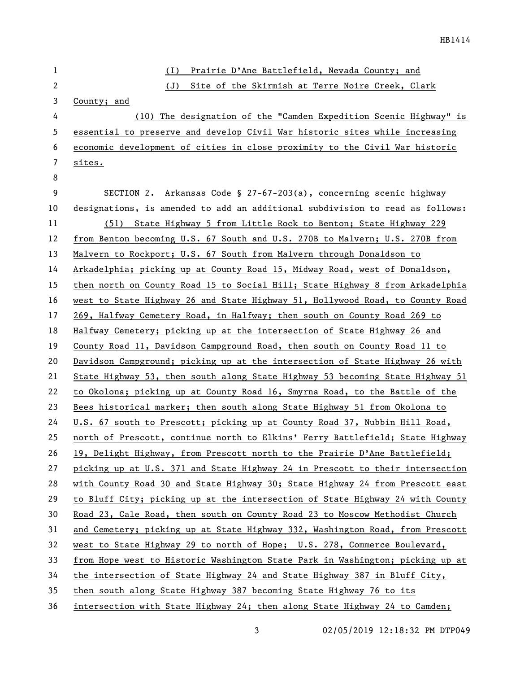| $\mathbf 1$  | Prairie D'Ane Battlefield, Nevada County; and<br>(1)                          |
|--------------|-------------------------------------------------------------------------------|
| $\mathbf{2}$ | (J)<br>Site of the Skirmish at Terre Noire Creek, Clark                       |
| 3            | County; and                                                                   |
| 4            | (10) The designation of the "Camden Expedition Scenic Highway" is             |
| 5            | essential to preserve and develop Civil War historic sites while increasing   |
| 6            | economic development of cities in close proximity to the Civil War historic   |
| 7            | sites.                                                                        |
| 8            |                                                                               |
| 9            | SECTION 2. Arkansas Code § 27-67-203(a), concerning scenic highway            |
| 10           | designations, is amended to add an additional subdivision to read as follows: |
| 11           | (51) State Highway 5 from Little Rock to Benton; State Highway 229            |
| 12           | from Benton becoming U.S. 67 South and U.S. 270B to Malvern; U.S. 270B from   |
| 13           | Malvern to Rockport; U.S. 67 South from Malvern through Donaldson to          |
| 14           | Arkadelphia; picking up at County Road 15, Midway Road, west of Donaldson,    |
| 15           | then north on County Road 15 to Social Hill; State Highway 8 from Arkadelphia |
| 16           | west to State Highway 26 and State Highway 51, Hollywood Road, to County Road |
| 17           | 269, Halfway Cemetery Road, in Halfway; then south on County Road 269 to      |
| 18           | Halfway Cemetery; picking up at the intersection of State Highway 26 and      |
| 19           | County Road 11, Davidson Campground Road, then south on County Road 11 to     |
| 20           | Davidson Campground; picking up at the intersection of State Highway 26 with  |
| 21           | State Highway 53, then south along State Highway 53 becoming State Highway 51 |
| 22           | to Okolona; picking up at County Road 16, Smyrna Road, to the Battle of the   |
| 23           | Bees historical marker; then south along State Highway 51 from Okolona to     |
| 24           | U.S. 67 south to Prescott; picking up at County Road 37, Nubbin Hill Road,    |
| 25           | north of Prescott, continue north to Elkins' Ferry Battlefield; State Highway |
| 26           | 19, Delight Highway, from Prescott north to the Prairie D'Ane Battlefield;    |
| 27           | picking up at U.S. 371 and State Highway 24 in Prescott to their intersection |
| 28           | with County Road 30 and State Highway 30; State Highway 24 from Prescott east |
| 29           | to Bluff City; picking up at the intersection of State Highway 24 with County |
| 30           | Road 23, Cale Road, then south on County Road 23 to Moscow Methodist Church   |
| 31           | and Cemetery; picking up at State Highway 332, Washington Road, from Prescott |
| 32           | west to State Highway 29 to north of Hope; U.S. 278, Commerce Boulevard,      |
| 33           | from Hope west to Historic Washington State Park in Washington; picking up at |
| 34           | the intersection of State Highway 24 and State Highway 387 in Bluff City,     |
| 35           | then south along State Highway 387 becoming State Highway 76 to its           |
| 36           | intersection with State Highway 24; then along State Highway 24 to Camden;    |

02/05/2019 12:18:32 PM DTP049